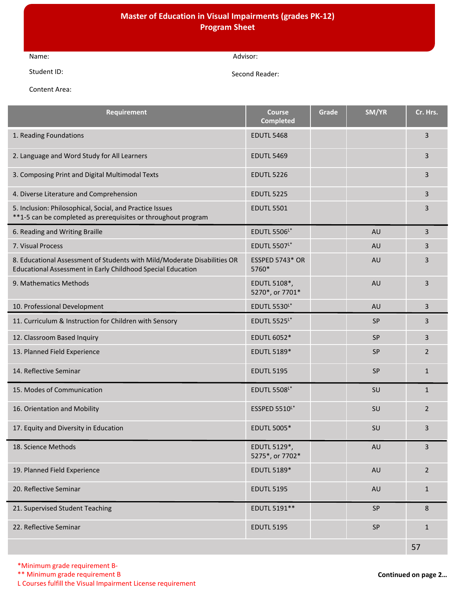## **Master of Education in Visual Impairments (grades PK-12) Program Sheet**

| Name:       | \dvisor:       |
|-------------|----------------|
| Student ID: | Second Reader: |

Content Area:

| Requirement                                                                                                                             | <b>Course</b><br><b>Completed</b> | Grade | SM/YR     | Cr. Hrs.       |
|-----------------------------------------------------------------------------------------------------------------------------------------|-----------------------------------|-------|-----------|----------------|
| 1. Reading Foundations                                                                                                                  | <b>EDUTL 5468</b>                 |       |           | 3              |
| 2. Language and Word Study for All Learners                                                                                             | <b>EDUTL 5469</b>                 |       |           | 3              |
| 3. Composing Print and Digital Multimodal Texts                                                                                         | <b>EDUTL 5226</b>                 |       |           | 3              |
| 4. Diverse Literature and Comprehension                                                                                                 | <b>EDUTL 5225</b>                 |       |           | 3              |
| 5. Inclusion: Philosophical, Social, and Practice Issues<br>**1-5 can be completed as prerequisites or throughout program               | <b>EDUTL 5501</b>                 |       |           | 3              |
| 6. Reading and Writing Braille                                                                                                          | <b>EDUTL 5506L*</b>               |       | <b>AU</b> | 3              |
| 7. Visual Process                                                                                                                       | <b>EDUTL 5507L*</b>               |       | <b>AU</b> | 3              |
| 8. Educational Assessment of Students with Mild/Moderate Disabilities OR<br>Educational Assessment in Early Childhood Special Education | <b>ESSPED 5743* OR</b><br>5760*   |       | AU        | 3              |
| 9. Mathematics Methods                                                                                                                  | EDUTL 5108*,<br>5270*, or 7701*   |       | AU        | 3              |
| 10. Professional Development                                                                                                            | <b>EDUTL 5530L*</b>               |       | AU        | 3              |
| 11. Curriculum & Instruction for Children with Sensory                                                                                  | <b>EDUTL 5525L*</b>               |       | SP        | 3              |
| 12. Classroom Based Inquiry                                                                                                             | <b>EDUTL 6052*</b>                |       | SP        | $\overline{3}$ |
| 13. Planned Field Experience                                                                                                            | EDUTL 5189*                       |       | <b>SP</b> | 2              |
| 14. Reflective Seminar                                                                                                                  | <b>EDUTL 5195</b>                 |       | <b>SP</b> | $\mathbf{1}$   |
| 15. Modes of Communication                                                                                                              | <b>EDUTL 5508L*</b>               |       | SU        | $\mathbf{1}$   |
| 16. Orientation and Mobility                                                                                                            | ESSPED 5510L*                     |       | SU        | $\overline{2}$ |
| 17. Equity and Diversity in Education                                                                                                   | <b>EDUTL 5005*</b>                |       | SU        | 3              |
| 18. Science Methods                                                                                                                     | EDUTL 5129*,<br>5275*, or 7702*   |       | <b>AU</b> | $\overline{3}$ |
| 19. Planned Field Experience                                                                                                            | EDUTL 5189*                       |       | AU        | $2^{\circ}$    |
| 20. Reflective Seminar                                                                                                                  | <b>EDUTL 5195</b>                 |       | AU        | $\mathbf{1}$   |
| 21. Supervised Student Teaching                                                                                                         | EDUTL 5191**                      |       | SP        | 8              |
| 22. Reflective Seminar                                                                                                                  | <b>EDUTL 5195</b>                 |       | SP        | $\mathbf{1}$   |
|                                                                                                                                         |                                   |       |           | 57             |

\*\* Minimum grade requirement B

L Courses fulfill the Visual Impairment License requirement